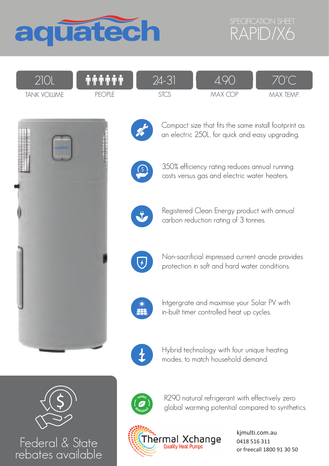



| $\cap$ 1 $\cap$                                               | $\bullet\bullet\bullet\bullet\bullet\bullet$<br>. | $\frac{1}{2}$ - |   |              |
|---------------------------------------------------------------|---------------------------------------------------|-----------------|---|--------------|
| $\cdot$ IA A L<br><b>IANK</b><br>$\sim$ $\frac{1}{10}$ $\sim$ | <b>INDIT</b><br>∟∟                                | ب اب            | ◝ | TEMP.<br>MAX |



Federal & State rebates available



Compact size that fits the same install footprint as an electric 250L, for quick and easy upgrading.



350% efficiency rating reduces annual running costs versus gas and electric water heaters.



Registered Clean Energy product with annual carbon reduction rating of 3 tonnes.



Non-sacrificial impressed current anode provides protection in soft and hard water conditions.



Intgergrate and maximise your Solar PV with in-built timer controlled heat up cycles.



Hybrid technology with four unique heating modes, to match household demand.



R290 natural refrigerant with effectively zero global warming potential compared to synthetics.



kjmulti.com.au 0418 516 311 or freecall 1800 91 30 50